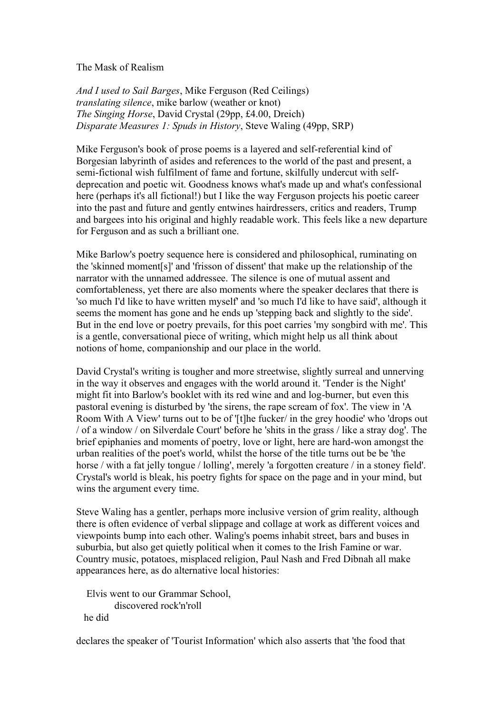The Mask of Realism

*And I used to Sail Barges*, Mike Ferguson (Red Ceilings) *translating silence*, mike barlow (weather or knot) *The Singing Horse*, David Crystal (29pp, £4.00, Dreich) *Disparate Measures 1: Spuds in History*, Steve Waling (49pp, SRP)

Mike Ferguson's book of prose poems is a layered and self-referential kind of Borgesian labyrinth of asides and references to the world of the past and present, a semi-fictional wish fulfilment of fame and fortune, skilfully undercut with selfdeprecation and poetic wit. Goodness knows what's made up and what's confessional here (perhaps it's all fictional!) but I like the way Ferguson projects his poetic career into the past and future and gently entwines hairdressers, critics and readers, Trump and bargees into his original and highly readable work. This feels like a new departure for Ferguson and as such a brilliant one.

Mike Barlow's poetry sequence here is considered and philosophical, ruminating on the 'skinned moment[s]' and 'frisson of dissent' that make up the relationship of the narrator with the unnamed addressee. The silence is one of mutual assent and comfortableness, yet there are also moments where the speaker declares that there is 'so much I'd like to have written myself' and 'so much I'd like to have said', although it seems the moment has gone and he ends up 'stepping back and slightly to the side'. But in the end love or poetry prevails, for this poet carries 'my songbird with me'. This is a gentle, conversational piece of writing, which might help us all think about notions of home, companionship and our place in the world.

David Crystal's writing is tougher and more streetwise, slightly surreal and unnerving in the way it observes and engages with the world around it. 'Tender is the Night' might fit into Barlow's booklet with its red wine and and log-burner, but even this pastoral evening is disturbed by 'the sirens, the rape scream of fox'. The view in 'A Room With A View' turns out to be of '[t]he fucker/ in the grey hoodie' who 'drops out / of a window / on Silverdale Court' before he 'shits in the grass / like a stray dog'. The brief epiphanies and moments of poetry, love or light, here are hard-won amongst the urban realities of the poet's world, whilst the horse of the title turns out be be 'the horse / with a fat jelly tongue / lolling', merely 'a forgotten creature / in a stoney field'. Crystal's world is bleak, his poetry fights for space on the page and in your mind, but wins the argument every time.

Steve Waling has a gentler, perhaps more inclusive version of grim reality, although there is often evidence of verbal slippage and collage at work as different voices and viewpoints bump into each other. Waling's poems inhabit street, bars and buses in suburbia, but also get quietly political when it comes to the Irish Famine or war. Country music, potatoes, misplaced religion, Paul Nash and Fred Dibnah all make appearances here, as do alternative local histories:

 Elvis went to our Grammar School, discovered rock'n'roll he did

declares the speaker of 'Tourist Information' which also asserts that 'the food that